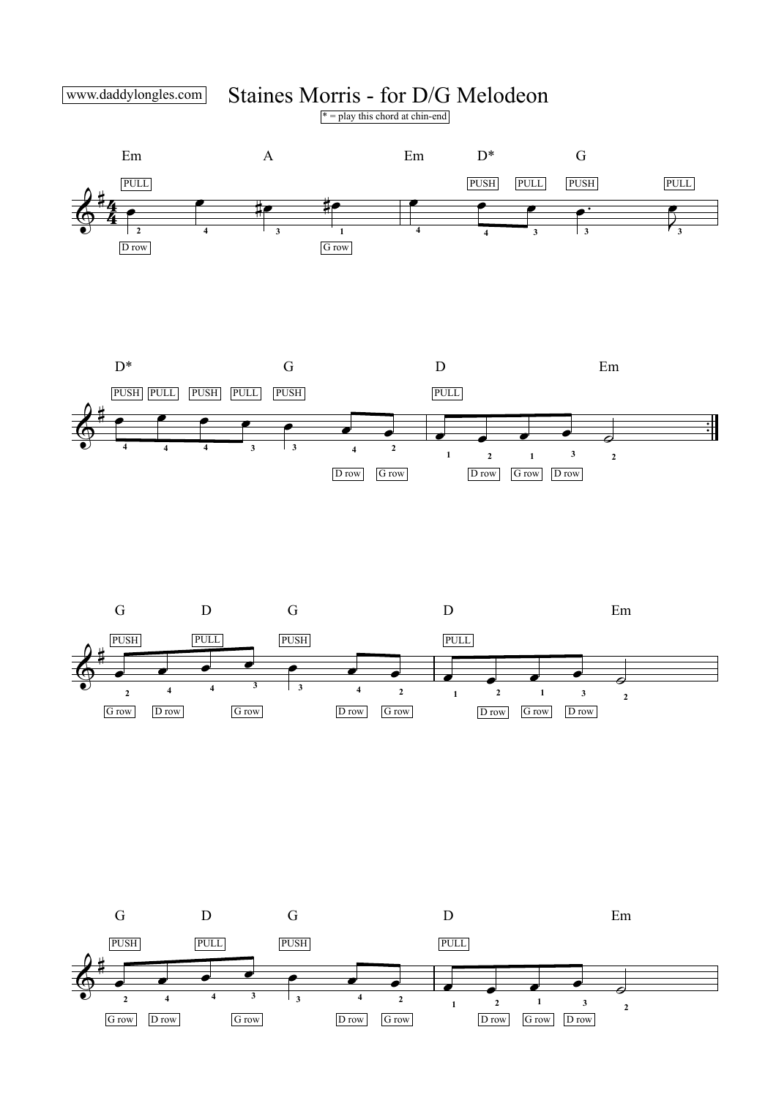